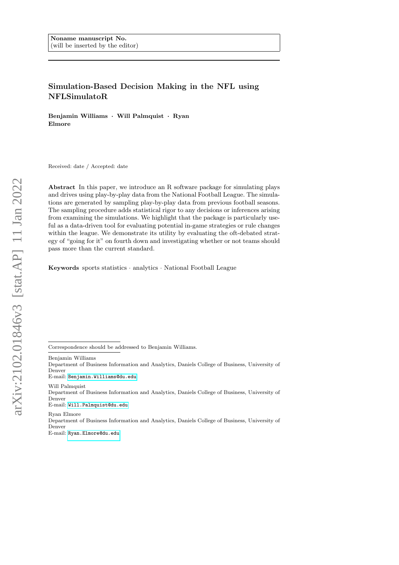# Simulation-Based Decision Making in the NFL using NFLSimulatoR

Benjamin Williams · Will Palmquist · Ryan Elmore

Received: date / Accepted: date

Abstract In this paper, we introduce an R software package for simulating plays and drives using play-by-play data from the National Football League. The simulations are generated by sampling play-by-play data from previous football seasons. The sampling procedure adds statistical rigor to any decisions or inferences arising from examining the simulations. We highlight that the package is particularly useful as a data-driven tool for evaluating potential in-game strategies or rule changes within the league. We demonstrate its utility by evaluating the oft-debated strategy of "going for it" on fourth down and investigating whether or not teams should pass more than the current standard.

Keywords sports statistics · analytics · National Football League

Correspondence should be addressed to Benjamin Williams.

Benjamin Williams

Department of Business Information and Analytics, Daniels College of Business, University of Denver

E-mail: [Benjamin.Williams@du.edu](mailto:Benjamin.Williams@du.edu)

Will Palmquist

Department of Business Information and Analytics, Daniels College of Business, University of Denver

E-mail: [Will.Palmquist@du.edu](mailto:Will.Palmquist@du.edu)

Ryan Elmore Department of Business Information and Analytics, Daniels College of Business, University of Denver

E-mail: [Ryan.Elmore@du.edu](mailto:Ryan.Elmore@du.edu)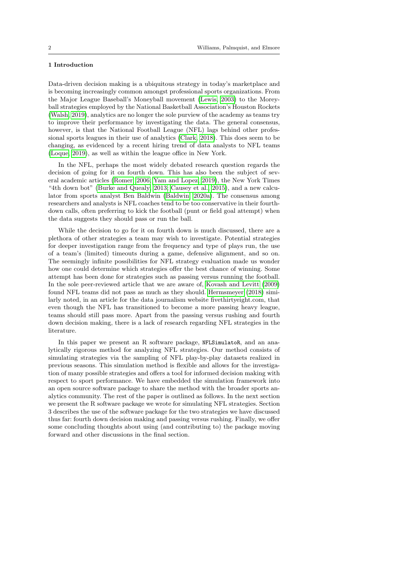# 1 Introduction

Data-driven decision making is a ubiquitous strategy in today's marketplace and is becoming increasingly common amongst professional sports organizations. From the Major League Baseball's Moneyball movement [\(Lewis, 2003\)](#page-13-0) to the Moreyball strategies employed by the National Basketball Association's Houston Rockets [\(Walsh, 2019\)](#page-14-0), analytics are no longer the sole purview of the academy as teams try to improve their performance by investigating the data. The general consensus, however, is that the National Football League (NFL) lags behind other professional sports leagues in their use of analytics [\(Clark, 2018\)](#page-13-1). This does seem to be changing, as evidenced by a recent hiring trend of data analysts to NFL teams [\(Loque, 2019\)](#page-14-1), as well as within the league office in New York.

In the NFL, perhaps the most widely debated research question regards the decision of going for it on fourth down. This has also been the subject of several academic articles [\(Romer, 2006;](#page-14-2) [Yam and Lopez, 2019\)](#page-14-3), the New York Times "4th down bot" [\(Burke and Quealy, 2013;](#page-13-2) [Causey et al., 2015\)](#page-13-3), and a new calculator from sports analyst Ben Baldwin [\(Baldwin, 2020a\)](#page-13-4). The consensus among researchers and analysts is NFL coaches tend to be too conservative in their fourthdown calls, often preferring to kick the football (punt or field goal attempt) when the data suggests they should pass or run the ball.

While the decision to go for it on fourth down is much discussed, there are a plethora of other strategies a team may wish to investigate. Potential strategies for deeper investigation range from the frequency and type of plays run, the use of a team's (limited) timeouts during a game, defensive alignment, and so on. The seemingly infinite possibilities for NFL strategy evaluation made us wonder how one could determine which strategies offer the best chance of winning. Some attempt has been done for strategies such as passing versus running the football. In the sole peer-reviewed article that we are aware of, [Kovash and Levitt](#page-13-5) [\(2009\)](#page-13-5) found NFL teams did not pass as much as they should. [Hermsmeyer](#page-13-6) [\(2018\)](#page-13-6) similarly noted, in an article for the data journalism website fivethirtyeight.com, that even though the NFL has transitioned to become a more passing heavy league, teams should still pass more. Apart from the passing versus rushing and fourth down decision making, there is a lack of research regarding NFL strategies in the literature.

In this paper we present an R software package, NFLSimulatoR, and an analytically rigorous method for analyzing NFL strategies. Our method consists of simulating strategies via the sampling of NFL play-by-play datasets realized in previous seasons. This simulation method is flexible and allows for the investigation of many possible strategies and offers a tool for informed decision making with respect to sport performance. We have embedded the simulation framework into an open source software package to share the method with the broader sports analytics community. The rest of the paper is outlined as follows. In the next section we present the R software package we wrote for simulating NFL strategies. Section 3 describes the use of the software package for the two strategies we have discussed thus far: fourth down decision making and passing versus rushing. Finally, we offer some concluding thoughts about using (and contributing to) the package moving forward and other discussions in the final section.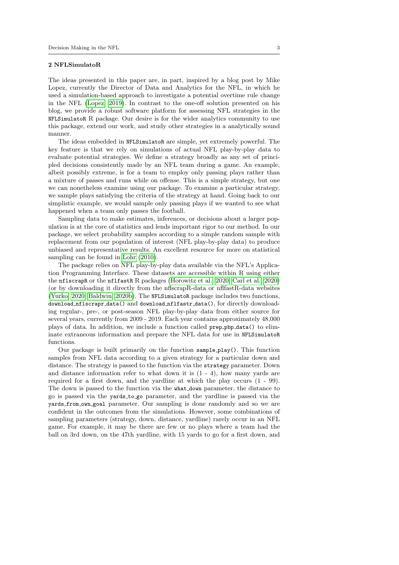## 2 NFLSimulatoR

The ideas presented in this paper are, in part, inspired by a blog post by Mike Lopez, currently the Director of Data and Analytics for the NFL, in which he used a simulation-based approach to investigate a potential overtime rule change in the NFL [\(Lopez, 2019\)](#page-14-4). In contrast to the one-off solution presented on his blog, we provide a robust software platform for assessing NFL strategies in the NFLSimulatoR R package. Our desire is for the wider analytics community to use this package, extend our work, and study other strategies in a analytically sound manner.

The ideas embedded in NFLSimulatoR are simple, yet extremely powerful. The key feature is that we rely on simulations of actual NFL play-by-play data to evaluate potential strategies. We define a strategy broadly as any set of principled decisions consistently made by an NFL team during a game. An example, albeit possibly extreme, is for a team to employ only passing plays rather than a mixture of passes and runs while on offense. This is a simple strategy, but one we can nonetheless examine using our package. To examine a particular strategy, we sample plays satisfying the criteria of the strategy at hand. Going back to our simplistic example, we would sample only passing plays if we wanted to see what happened when a team only passes the football.

Sampling data to make estimates, inferences, or decisions about a larger population is at the core of statistics and lends important rigor to our method. In our package, we select probability samples according to a simple random sample with replacement from our population of interest (NFL play-by-play data) to produce unbiased and representative results. An excellent resource for more on statistical sampling can be found in [Lohr](#page-13-7) [\(2010\)](#page-13-7).

The package relies on NFL play-by-play data available via the NFL's Application Programming Interface. These datasets are accessible within R using either the nflscrapR or the nflfastR R packages [\(Horowitz et al., 2020;](#page-13-8) [Carl et al., 2020\)](#page-13-9) (or by downloading it directly from the nflscrapR-data or nflfastR-data websites [\(Yurko, 2020;](#page-14-5) [Baldwin, 2020b\)](#page-13-10). The NFLSimulatoR package includes two functions, download nflscrapr data() and download nflfastr data(), for directly downloading regular-, pre-, or post-season NFL play-by-play data from either source for several years, currently from 2009 - 2019. Each year contains approximately 48,000 plays of data. In addition, we include a function called prep pbp data() to eliminate extraneous information and prepare the NFL data for use in NFLSimulatoR functions.

Our package is built primarily on the function sample play(). This function samples from NFL data according to a given strategy for a particular down and distance. The strategy is passed to the function via the strategy parameter. Down and distance information refer to what down it is  $(1 - 4)$ , how many yards are required for a first down, and the yardline at which the play occurs (1 - 99). The down is passed to the function via the what down parameter, the distance to go is passed via the yards to go parameter, and the yardline is passed via the yards from own goal parameter. Our sampling is done randomly and so we are confident in the outcomes from the simulations. However, some combinations of sampling parameters (strategy, down, distance, yardline) rarely occur in an NFL game. For example, it may be there are few or no plays where a team had the ball on 3rd down, on the 47th yardline, with 15 yards to go for a first down, and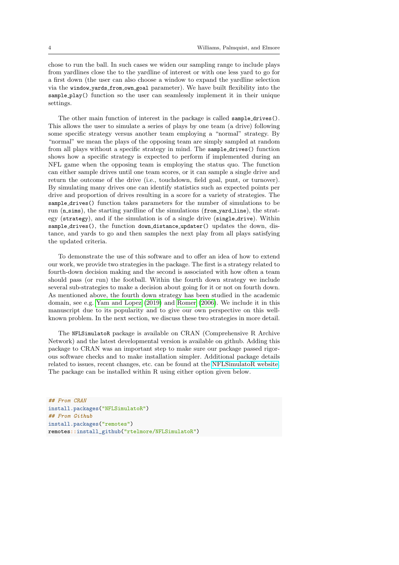chose to run the ball. In such cases we widen our sampling range to include plays from yardlines close the to the yardline of interest or with one less yard to go for a first down (the user can also choose a window to expand the yardline selection via the window yards from own goal parameter). We have built flexibility into the sample play() function so the user can seamlessly implement it in their unique settings.

The other main function of interest in the package is called sample drives(). This allows the user to simulate a series of plays by one team (a drive) following some specific strategy versus another team employing a "normal" strategy. By "normal" we mean the plays of the opposing team are simply sampled at random from all plays without a specific strategy in mind. The sample drives() function shows how a specific strategy is expected to perform if implemented during an NFL game when the opposing team is employing the status quo. The function can either sample drives until one team scores, or it can sample a single drive and return the outcome of the drive (i.e., touchdown, field goal, punt, or turnover). By simulating many drives one can identify statistics such as expected points per drive and proportion of drives resulting in a score for a variety of strategies. The sample drives() function takes parameters for the number of simulations to be run (n sims), the starting vardline of the simulations (from yard line), the strategy (strategy), and if the simulation is of a single drive (single drive). Within sample drives(), the function down distance updater() updates the down, distance, and yards to go and then samples the next play from all plays satisfying the updated criteria.

To demonstrate the use of this software and to offer an idea of how to extend our work, we provide two strategies in the package. The first is a strategy related to fourth-down decision making and the second is associated with how often a team should pass (or run) the football. Within the fourth down strategy we include several sub-strategies to make a decision about going for it or not on fourth down. As mentioned above, the fourth down strategy has been studied in the academic domain, see e.g. [Yam and Lopez](#page-14-3) [\(2019\)](#page-14-3) and [Romer](#page-14-2) [\(2006\)](#page-14-2). We include it in this manuscript due to its popularity and to give our own perspective on this wellknown problem. In the next section, we discuss these two strategies in more detail.

The NFLSimulatoR package is available on CRAN (Comprehensive R Archive Network) and the latest developmental version is available on github. Adding this package to CRAN was an important step to make sure our package passed rigorous software checks and to make installation simpler. Additional package details related to issues, recent changes, etc. can be found at the [NFLSimulatoR website.](http://datacolorado.com/r/NFLSimulatoR) The package can be installed within R using either option given below.

```
## From CRAN
install.packages("NFLSimulatoR")
## From Github
install.packages("remotes")
remotes::install_github("rtelmore/NFLSimulatoR")
```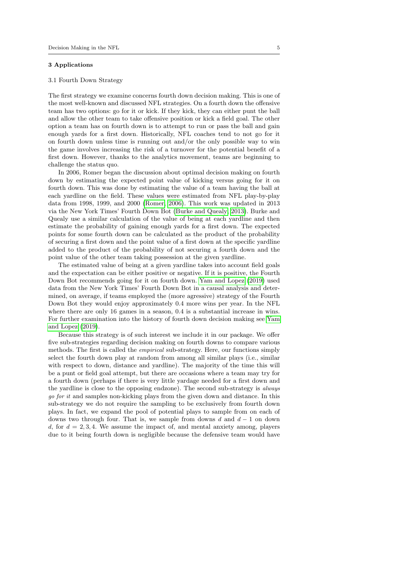## 3 Applications

#### 3.1 Fourth Down Strategy

The first strategy we examine concerns fourth down decision making. This is one of the most well-known and discussed NFL strategies. On a fourth down the offensive team has two options: go for it or kick. If they kick, they can either punt the ball and allow the other team to take offensive position or kick a field goal. The other option a team has on fourth down is to attempt to run or pass the ball and gain enough yards for a first down. Historically, NFL coaches tend to not go for it on fourth down unless time is running out and/or the only possible way to win the game involves increasing the risk of a turnover for the potential benefit of a first down. However, thanks to the analytics movement, teams are beginning to challenge the status quo.

In 2006, Romer began the discussion about optimal decision making on fourth down by estimating the expected point value of kicking versus going for it on fourth down. This was done by estimating the value of a team having the ball at each yardline on the field. These values were estimated from NFL play-by-play data from 1998, 1999, and 2000 [\(Romer, 2006\)](#page-14-2). This work was updated in 2013 via the New York Times' Fourth Down Bot [\(Burke and Quealy, 2013\)](#page-13-2). Burke and Quealy use a similar calculation of the value of being at each yardline and then estimate the probability of gaining enough yards for a first down. The expected points for some fourth down can be calculated as the product of the probability of securing a first down and the point value of a first down at the specific yardline added to the product of the probability of not securing a fourth down and the point value of the other team taking possession at the given yardline.

The estimated value of being at a given yardline takes into account field goals and the expectation can be either positive or negative. If it is positive, the Fourth Down Bot recommends going for it on fourth down. [Yam and Lopez](#page-14-3) [\(2019\)](#page-14-3) used data from the New York Times' Fourth Down Bot in a causal analysis and determined, on average, if teams employed the (more agressive) strategy of the Fourth Down Bot they would enjoy approximately 0.4 more wins per year. In the NFL where there are only 16 games in a season, 0.4 is a substantial increase in wins. For further examination into the history of fourth down decision making see [Yam](#page-14-3) [and Lopez](#page-14-3) [\(2019\)](#page-14-3).

Because this strategy is of such interest we include it in our package. We offer five sub-strategies regarding decision making on fourth downs to compare various methods. The first is called the empirical sub-strategy. Here, our functions simply select the fourth down play at random from among all similar plays (i.e., similar with respect to down, distance and vardline). The majority of the time this will be a punt or field goal attempt, but there are occasions where a team may try for a fourth down (perhaps if there is very little yardage needed for a first down and the yardline is close to the opposing endzone). The second sub-strategy is always go for it and samples non-kicking plays from the given down and distance. In this sub-strategy we do not require the sampling to be exclusively from fourth down plays. In fact, we expand the pool of potential plays to sample from on each of downs two through four. That is, we sample from downs d and  $d-1$  on down d, for  $d = 2, 3, 4$ . We assume the impact of, and mental anxiety among, players due to it being fourth down is negligible because the defensive team would have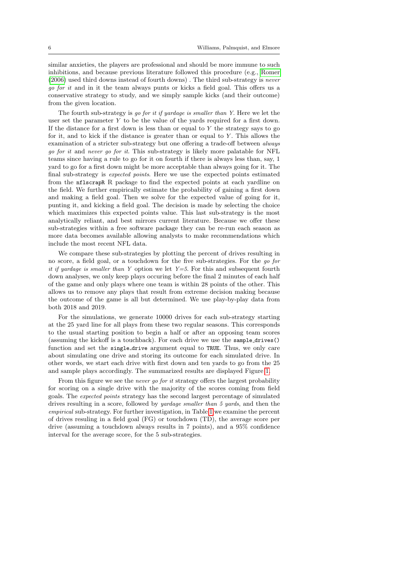similar anxieties, the players are professional and should be more immune to such inhibitions, and because previous literature followed this procedure (e.g., [Romer](#page-14-2) [\(2006\)](#page-14-2) used third downs instead of fourth downs) . The third sub-strategy is never go for it and in it the team always punts or kicks a field goal. This offers us a conservative strategy to study, and we simply sample kicks (and their outcome) from the given location.

The fourth sub-strategy is go for it if yardage is smaller than Y. Here we let the user set the parameter Y to be the value of the yards required for a first down. If the distance for a first down is less than or equal to  $Y$  the strategy says to go for it, and to kick if the distance is greater than or equal to  $Y$ . This allows the examination of a stricter sub-strategy but one offering a trade-off between always go for it and never go for it. This sub-strategy is likely more palatable for NFL teams since having a rule to go for it on fourth if there is always less than, say, 1 yard to go for a first down might be more acceptable than always going for it. The final sub-strategy is expected points. Here we use the expected points estimated from the nflscrapR R package to find the expected points at each yardline on the field. We further empirically estimate the probability of gaining a first down and making a field goal. Then we solve for the expected value of going for it, punting it, and kicking a field goal. The decision is made by selecting the choice which maximizes this expected points value. This last sub-strategy is the most analytically reliant, and best mirrors current literature. Because we offer these sub-strategies within a free software package they can be re-run each season as more data becomes available allowing analysts to make recommendations which include the most recent NFL data.

We compare these sub-strategies by plotting the percent of drives resulting in no score, a field goal, or a touchdown for the five sub-strategies. For the go for it if yardage is smaller than Y option we let  $Y=5$ . For this and subsequent fourth down analyses, we only keep plays occuring before the final 2 minutes of each half of the game and only plays where one team is within 28 points of the other. This allows us to remove any plays that result from extreme decision making because the outcome of the game is all but determined. We use play-by-play data from both 2018 and 2019.

For the simulations, we generate 10000 drives for each sub-strategy starting at the 25 yard line for all plays from these two regular seasons. This corresponds to the usual starting position to begin a half or after an opposing team scores (assuming the kickoff is a touchback). For each drive we use the sample drives() function and set the single drive argument equal to TRUE. Thus, we only care about simulating one drive and storing its outcome for each simulated drive. In other words, we start each drive with first down and ten yards to go from the 25 and sample plays accordingly. The summarized results are displayed Figure [1.](#page-6-0)

From this figure we see the never go for it strategy offers the largest probability for scoring on a single drive with the majority of the scores coming from field goals. The expected points strategy has the second largest percentage of simulated drives resulting in a score, followed by yardage smaller than 5 yards, and then the empirical sub-strategy. For further investigation, in Table [1](#page-6-1) we examine the percent of drives resuling in a field goal (FG) or touchdown (TD), the average score per drive (assuming a touchdown always results in 7 points), and a 95% confidence interval for the average score, for the 5 sub-strategies.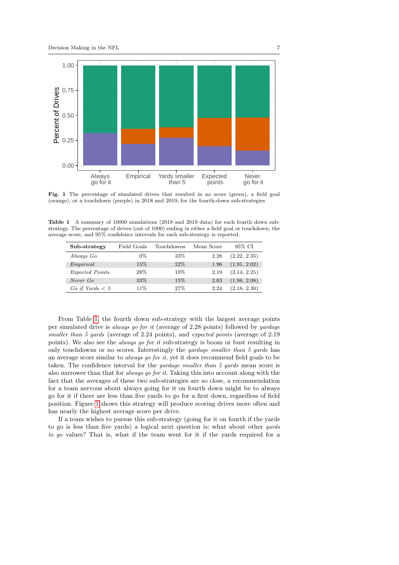

Fig. 1 The percentage of simulated drives that resulted in no score (green), a field goal (orange), or a touchdown (purple) in 2018 and 2019, for the fourth-down sub-strategies

<span id="page-6-1"></span>Table 1 A summary of 10000 simulations (2018 and 2019 data) for each fourth down substrategy. The percentage of drives (out of 1000) ending in either a field goal or touchdown, the average score, and 95% confidence intervals for each sub-strategy is reported.

<span id="page-6-0"></span>

| Sub-strategy      | Field Goals | Touchdowns | Mean Score | 95% CI       |
|-------------------|-------------|------------|------------|--------------|
| Always Go         | $0\%$       | 33%        | 2.28       | (2.22, 2.35) |
| Empirical         | 15%         | 22%        | 1.96       | (1.91, 2.02) |
| Expected Points   | 28\%        | 19%        | 2.19       | (2.14, 2.25) |
| Never Go          | 33\%        | 15%        | 2.03       | (1.98, 2.08) |
| Go if Yards $< 5$ | 11\%        | 27%        | 2.24       | (2.18, 2.30) |

From Table [1,](#page-6-1) the fourth down sub-strategy with the largest average points per simulated drive is always go for it (average of 2.28 points) followed by yardage smaller than 5 yards (average of 2.24 points), and expected points (average of 2.19 points). We also see the always go for it sub-strategy is boom or bust resulting in only touchdowns or no scores. Interestingly the yardage smaller than 5 yards has an average score similar to always go for it, yet it does recommend field goals to be taken. The confidence interval for the yardage smaller than 5 yards mean score is also narrower than that for always go for it. Taking this into account along with the fact that the averages of these two sub-strategies are so close, a recommendation for a team nervous about always going for it on fourth down might be to always go for it if there are less than five yards to go for a first down, regardless of field position. Figure [1](#page-6-0) shows this strategy will produce scoring drives more often and has nearly the highest average score per drive.

If a team wishes to pursue this sub-strategy (going for it on fourth if the yards to go is less than five yards) a logical next question is: what about other yards to go values? That is, what if the team went for it if the yards required for a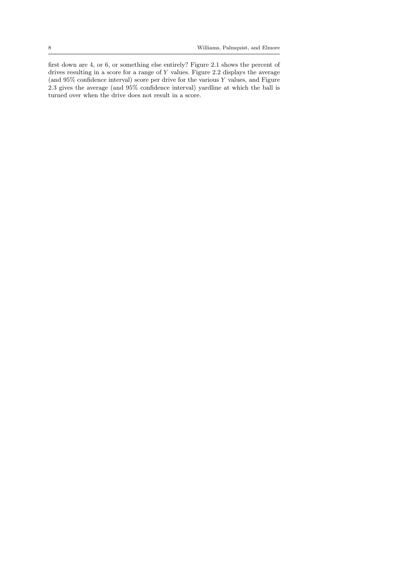first down are 4, or 6, or something else entirely? Figure 2.1 shows the percent of drives resulting in a score for a range of Y values. Figure 2.2 displays the average (and 95% confidence interval) score per drive for the various Y values, and Figure 2.3 gives the average (and 95% confidence interval) yardline at which the ball is turned over when the drive does not result in a score.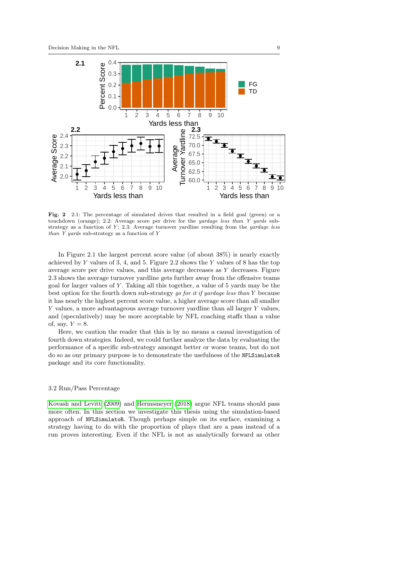

Fig. 2 2.1: The percentage of simulated drives that resulted in a field goal (green) or a touchdown (orange); 2.2: Average score per drive for the yardage less than Y yards substrategy as a function of  $Y$ ; 2.3: Average turnover yardline resulting from the *yardage less* than Y yards sub-strategy as a function of Y

In Figure 2.1 the largest percent score value (of about 38%) is nearly exactly achieved by  $Y$  values of 3, 4, and 5. Figure 2.2 shows the  $Y$  values of 8 has the top average score per drive values, and this average decreases as Y decreases. Figure 2.3 shows the average turnover yardline gets further away from the offensive teams goal for larger values of Y . Taking all this together, a value of 5 yards may be the best option for the fourth down sub-strategy go for it if yardage less than Y because it has nearly the highest percent score value, a higher average score than all smaller Y values, a more advantageous average turnover yardline than all larger Y values, and (speculatively) may be more acceptable by NFL coaching staffs than a value of, say,  $Y = 8$ .

Here, we caution the reader that this is by no means a causal investigation of fourth down strategies. Indeed, we could further analyze the data by evaluating the performance of a specific sub-strategy amongst better or worse teams, but do not do so as our primary purpose is to demonstrate the usefulness of the NFLSimulatoR package and its core functionality.

# 3.2 Run/Pass Percentage

[Kovash and Levitt](#page-13-5) [\(2009\)](#page-13-5) and [Hermsmeyer](#page-13-6) [\(2018\)](#page-13-6) argue NFL teams should pass more often. In this section we investigate this thesis using the simulation-based approach of NFLSimulatoR. Though perhaps simple on its surface, examining a strategy having to do with the proportion of plays that are a pass instead of a run proves interesting. Even if the NFL is not as analytically forward as other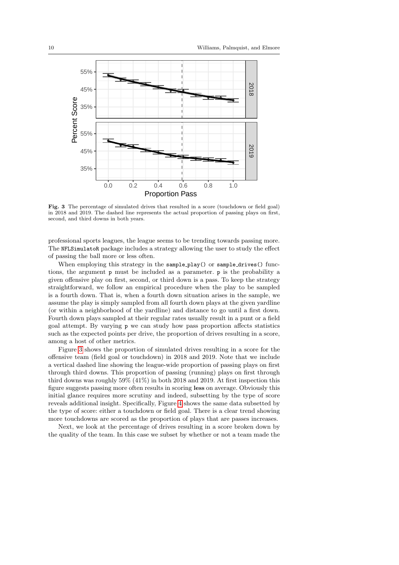

<span id="page-9-0"></span>Fig. 3 The percentage of simulated drives that resulted in a score (touchdown or field goal) in 2018 and 2019. The dashed line represents the actual proportion of passing plays on first, second, and third downs in both years.

professional sports leagues, the league seems to be trending towards passing more. The NFLSimulatoR package includes a strategy allowing the user to study the effect of passing the ball more or less often.

When employing this strategy in the sample\_play() or sample\_drives() functions, the argument p must be included as a parameter. p is the probability a given offensive play on first, second, or third down is a pass. To keep the strategy straightforward, we follow an empirical procedure when the play to be sampled is a fourth down. That is, when a fourth down situation arises in the sample, we assume the play is simply sampled from all fourth down plays at the given yardline (or within a neighborhood of the yardline) and distance to go until a first down. Fourth down plays sampled at their regular rates usually result in a punt or a field goal attempt. By varying p we can study how pass proportion affects statistics such as the expected points per drive, the proportion of drives resulting in a score, among a host of other metrics.

Figure [3](#page-9-0) shows the proportion of simulated drives resulting in a score for the offensive team (field goal or touchdown) in 2018 and 2019. Note that we include a vertical dashed line showing the league-wide proportion of passing plays on first through third downs. This proportion of passing (running) plays on first through third downs was roughly 59% (41%) in both 2018 and 2019. At first inspection this figure suggests passing more often results in scoring less on average. Obviously this initial glance requires more scrutiny and indeed, subsetting by the type of score reveals additional insight. Specifically, Figure [4](#page-10-0) shows the same data subsetted by the type of score: either a touchdown or field goal. There is a clear trend showing more touchdowns are scored as the proportion of plays that are passes increases.

Next, we look at the percentage of drives resulting in a score broken down by the quality of the team. In this case we subset by whether or not a team made the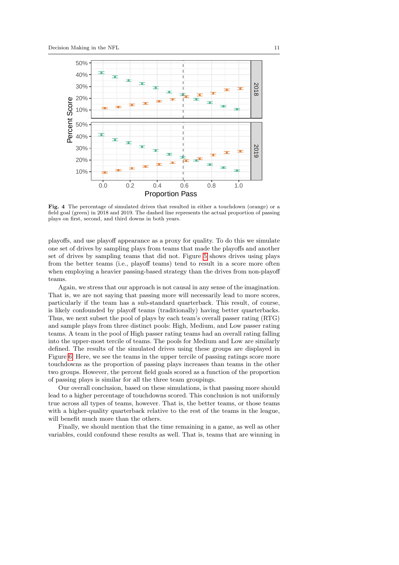

<span id="page-10-0"></span>Fig. 4 The percentage of simulated drives that resulted in either a touchdown (orange) or a field goal (green) in 2018 and 2019. The dashed line represents the actual proportion of passing plays on first, second, and third downs in both years.

playoffs, and use playoff appearance as a proxy for quality. To do this we simulate one set of drives by sampling plays from teams that made the playoffs and another set of drives by sampling teams that did not. Figure [5](#page-11-0) shows drives using plays from the better teams (i.e., playoff teams) tend to result in a score more often when employing a heavier passing-based strategy than the drives from non-playoff teams.

Again, we stress that our approach is not causal in any sense of the imagination. That is, we are not saying that passing more will necessarily lead to more scores, particularly if the team has a sub-standard quarterback. This result, of course, is likely confounded by playoff teams (traditionally) having better quarterbacks. Thus, we next subset the pool of plays by each team's overall passer rating (RTG) and sample plays from three distinct pools: High, Medium, and Low passer rating teams. A team in the pool of High passer rating teams had an overall rating falling into the upper-most tercile of teams. The pools for Medium and Low are similarly defined. The results of the simulated drives using these groups are displayed in Figure [6.](#page-11-1) Here, we see the teams in the upper tercile of passing ratings score more touchdowns as the proportion of passing plays increases than teams in the other two groups. However, the percent field goals scored as a function of the proportion of passing plays is similar for all the three team groupings.

Our overall conclusion, based on these simulations, is that passing more should lead to a higher percentage of touchdowns scored. This conclusion is not uniformly true across all types of teams, however. That is, the better teams, or those teams with a higher-quality quarterback relative to the rest of the teams in the league, will benefit much more than the others.

Finally, we should mention that the time remaining in a game, as well as other variables, could confound these results as well. That is, teams that are winning in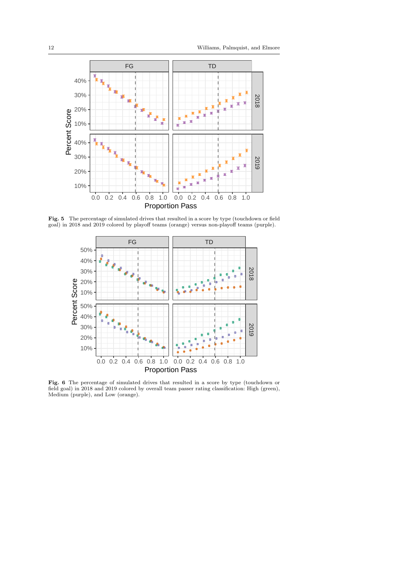

Fig. 5 The percentage of simulated drives that resulted in a score by type (touchdown or field goal) in 2018 and 2019 colored by playoff teams (orange) versus non-playoff teams (purple).

<span id="page-11-0"></span>

<span id="page-11-1"></span>Fig. 6 The percentage of simulated drives that resulted in a score by type (touchdown or field goal) in 2018 and 2019 colored by overall team passer rating classification: High (green), Medium (purple), and Low (orange).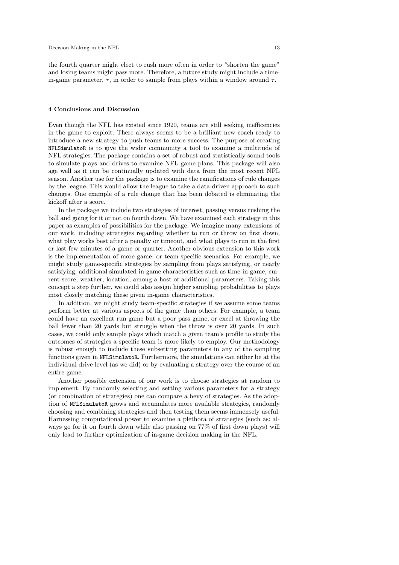the fourth quarter might elect to rush more often in order to "shorten the game" and losing teams might pass more. Therefore, a future study might include a timein-game parameter,  $\tau$ , in order to sample from plays within a window around  $\tau$ .

## 4 Conclusions and Discussion

Even though the NFL has existed since 1920, teams are still seeking inefficencies in the game to exploit. There always seems to be a brilliant new coach ready to introduce a new strategy to push teams to more success. The purpose of creating NFLSimulatoR is to give the wider community a tool to examine a multitude of NFL strategies. The package contains a set of robust and statistically sound tools to simulate plays and drives to examine NFL game plans. This package will also age well as it can be continually updated with data from the most recent NFL season. Another use for the package is to examine the ramifications of rule changes by the league. This would allow the league to take a data-driven approach to such changes. One example of a rule change that has been debated is eliminating the kickoff after a score.

In the package we include two strategies of interest, passing versus rushing the ball and going for it or not on fourth down. We have examined each strategy in this paper as examples of possibilities for the package. We imagine many extensions of our work, including strategies regarding whether to run or throw on first down, what play works best after a penalty or timeout, and what plays to run in the first or last few minutes of a game or quarter. Another obvious extension to this work is the implementation of more game- or team-specific scenarios. For example, we might study game-specific strategies by sampling from plays satisfying, or nearly satisfying, additional simulated in-game characteristics such as time-in-game, current score, weather, location, among a host of additional parameters. Taking this concept a step further, we could also assign higher sampling probabilities to plays most closely matching these given in-game characteristics.

In addition, we might study team-specific strategies if we assume some teams perform better at various aspects of the game than others. For example, a team could have an excellent run game but a poor pass game, or excel at throwing the ball fewer than 20 yards but struggle when the throw is over 20 yards. In such cases, we could only sample plays which match a given team's profile to study the outcomes of strategies a specific team is more likely to employ. Our methodology is robust enough to include these subsetting parameters in any of the sampling functions given in NFLSimulatoR. Furthermore, the simulations can either be at the individual drive level (as we did) or by evaluating a strategy over the course of an entire game.

Another possible extension of our work is to choose strategies at random to implement. By randomly selecting and setting various parameters for a strategy (or combination of strategies) one can compare a bevy of strategies. As the adoption of NFLSimulatoR grows and accumulates more available strategies, randomly choosing and combining strategies and then testing them seems immensely useful. Harnessing computational power to examine a plethora of strategies (such as: always go for it on fourth down while also passing on 77% of first down plays) will only lead to further optimization of in-game decision making in the NFL.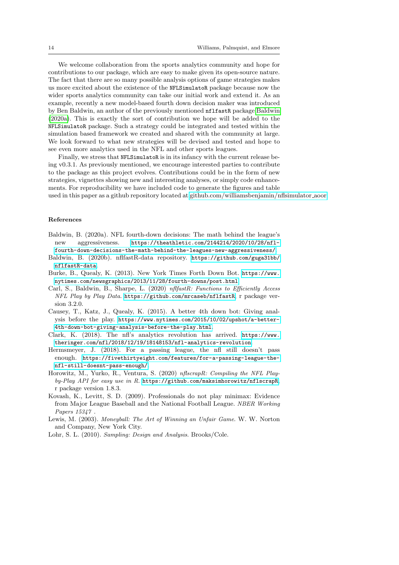We welcome collaboration from the sports analytics community and hope for contributions to our package, which are easy to make given its open-source nature. The fact that there are so many possible analysis options of game strategies makes us more excited about the existence of the NFLSimulatoR package because now the wider sports analytics community can take our initial work and extend it. As an example, recently a new model-based fourth down decision maker was introduced by Ben Baldwin, an author of the previously mentioned nflfastR package [Baldwin](#page-13-4) [\(2020a\)](#page-13-4). This is exactly the sort of contribution we hope will be added to the NFLSimulatoR package. Such a strategy could be integrated and tested within the simulation based framework we created and shared with the community at large. We look forward to what new strategies will be devised and tested and hope to see even more analytics used in the NFL and other sports leagues.

Finally, we stress that NFLSimulatoR is in its infancy with the current release being v0.3.1. As previously mentioned, we encourage interested parties to contribute to the package as this project evolves. Contributions could be in the form of new strategies, vignettes showing new and interesting analyses, or simply code enhancements. For reproducibility we have included code to generate the figures and table used in this paper as a github repository located at [github.com/williamsbenjamin/nflsimulator](https://github.com/williamsbenjamin/nflsimulator_aoor) aoor.

#### References

- <span id="page-13-4"></span>Baldwin, B. (2020a). NFL fourth-down decisions: The math behind the league's new aggressiveness. [https://theathletic.com/2144214/2020/10/28/nfl](https://theathletic.com/2144214/2020/10/28/nfl-fourth-down-decisions-the-math-behind-the-leagues-new-aggressiveness/)[fourth-down-decisions-the-math-behind-the-leagues-new-aggressiveness/](https://theathletic.com/2144214/2020/10/28/nfl-fourth-down-decisions-the-math-behind-the-leagues-new-aggressiveness/).
- <span id="page-13-10"></span>Baldwin, B. (2020b). nflfastR-data repository. [https://github.com/guga31bb/](https://github.com/guga31bb/nflfastR-data) [nflfastR-data](https://github.com/guga31bb/nflfastR-data).
- <span id="page-13-2"></span>Burke, B., Quealy, K. (2013). New York Times Forth Down Bot. [https://www.](https://www.nytimes.com/newsgraphics/2013/11/28/fourth-downs/post.html) [nytimes.com/newsgraphics/2013/11/28/fourth-downs/post.html](https://www.nytimes.com/newsgraphics/2013/11/28/fourth-downs/post.html).
- <span id="page-13-9"></span>Carl, S., Baldwin, B., Sharpe, L. (2020) nflfastR: Functions to Efficiently Access NFL Play by Play Data. <https://github.com/mrcaseb/nflfastR>, r package version 3.2.0.
- <span id="page-13-3"></span>Causey, T., Katz, J., Quealy, K. (2015). A better 4th down bot: Giving analysis before the play. [https://www.nytimes.com/2015/10/02/upshot/a-better-](https://www.nytimes.com/2015/10/02/upshot/a-better-4th-down-bot-giving-analysis-before-the-play.html)[4th-down-bot-giving-analysis-before-the-play.html](https://www.nytimes.com/2015/10/02/upshot/a-better-4th-down-bot-giving-analysis-before-the-play.html).
- <span id="page-13-1"></span>Clark, K. (2018). The nfl's analytics revolution has arrived. [https://www.](https://www.theringer.com/nfl/2018/12/19/18148153/nfl-analytics-revolution) [theringer.com/nfl/2018/12/19/18148153/nfl-analytics-revolution](https://www.theringer.com/nfl/2018/12/19/18148153/nfl-analytics-revolution).
- <span id="page-13-6"></span>Hermsmeyer, J. (2018). For a passing league, the nfl still doesn't pass enough. [https://fivethirtyeight.com/features/for-a-passing-league-the](https://fivethirtyeight.com/features/for-a-passing-league-the-nfl-still-doesnt-pass-enough/)[nfl-still-doesnt-pass-enough/](https://fivethirtyeight.com/features/for-a-passing-league-the-nfl-still-doesnt-pass-enough/).
- <span id="page-13-8"></span>Horowitz, M., Yurko, R., Ventura, S. (2020) nflscrapR: Compiling the NFL Playby-Play API for easy use in R. <https://github.com/maksimhorowitz/nflscrapR>, r package version 1.8.3.
- <span id="page-13-5"></span>Kovash, K., Levitt, S. D. (2009). Professionals do not play minimax: Evidence from Major League Baseball and the National Football League. NBER Working Papers 15347 .
- <span id="page-13-0"></span>Lewis, M. (2003). Moneyball: The Art of Winning an Unfair Game. W. W. Norton and Company, New York City.
- <span id="page-13-7"></span>Lohr, S. L. (2010). Sampling: Design and Analysis. Brooks/Cole.